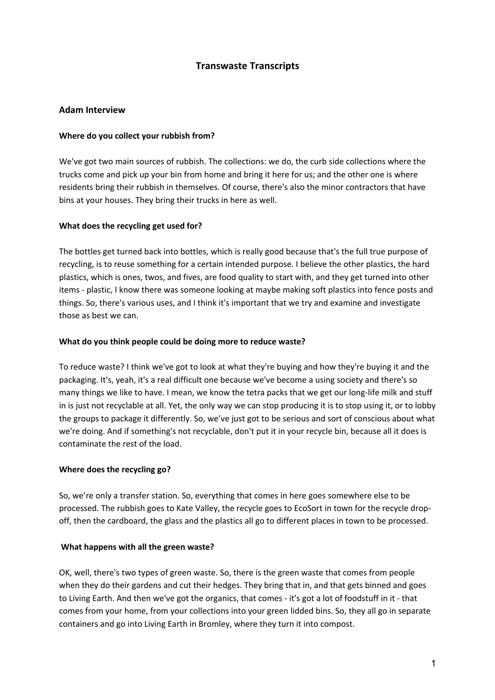# **Transwaste Transcripts**

# **Adam Interview**

### **Where do you collect your rubbish from?**

We've got two main sources of rubbish. The collections: we do, the curb side collections where the trucks come and pick up your bin from home and bring it here for us; and the other one is where residents bring their rubbish in themselves. Of course, there's also the minor contractors that have bins at your houses. They bring their trucks in here as well.

### **What does the recycling get used for?**

The bottles get turned back into bottles, which is really good because that's the full true purpose of recycling, is to reuse something for a certain intended purpose. I believe the other plastics, the hard plastics, which is ones, twos, and fives, are food quality to start with, and they get turned into other items - plastic, I know there was someone looking at maybe making soft plastics into fence posts and things. So, there's various uses, and I think it's important that we try and examine and investigate those as best we can.

### **What do you think people could be doing more to reduce waste?**

To reduce waste? I think we've got to look at what they're buying and how they're buying it and the packaging. It's, yeah, it's a real difficult one because we've become a using society and there's so many things we like to have. I mean, we know the tetra packs that we get our long-life milk and stuff in is just not recyclable at all. Yet, the only way we can stop producing it is to stop using it, or to lobby the groups to package it differently. So, we've just got to be serious and sort of conscious about what we're doing. And if something's not recyclable, don't put it in your recycle bin, because all it does is contaminate the rest of the load.

# **Where does the recycling go?**

So, we're only a transfer station. So, everything that comes in here goes somewhere else to be processed. The rubbish goes to Kate Valley, the recycle goes to EcoSort in town for the recycle dropoff, then the cardboard, the glass and the plastics all go to different places in town to be processed.

#### **What happens with all the green waste?**

OK, well, there's two types of green waste. So, there is the green waste that comes from people when they do their gardens and cut their hedges. They bring that in, and that gets binned and goes to Living Earth. And then we've got the organics, that comes - it's got a lot of foodstuff in it - that comes from your home, from your collections into your green lidded bins. So, they all go in separate containers and go into Living Earth in Bromley, where they turn it into compost.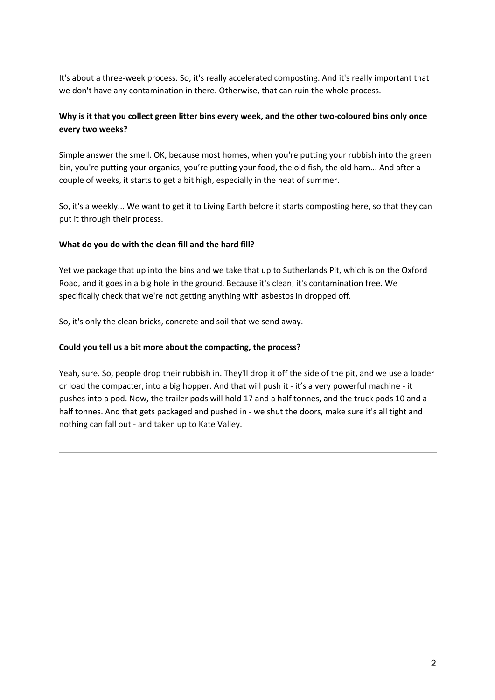It's about a three-week process. So, it's really accelerated composting. And it's really important that we don't have any contamination in there. Otherwise, that can ruin the whole process.

# **Why is it that you collect green litter bins every week, and the other two-coloured bins only once every two weeks?**

Simple answer the smell. OK, because most homes, when you're putting your rubbish into the green bin, you're putting your organics, you're putting your food, the old fish, the old ham... And after a couple of weeks, it starts to get a bit high, especially in the heat of summer.

So, it's a weekly... We want to get it to Living Earth before it starts composting here, so that they can put it through their process.

# **What do you do with the clean fill and the hard fill?**

Yet we package that up into the bins and we take that up to Sutherlands Pit, which is on the Oxford Road, and it goes in a big hole in the ground. Because it's clean, it's contamination free. We specifically check that we're not getting anything with asbestos in dropped off.

So, it's only the clean bricks, concrete and soil that we send away.

### **Could you tell us a bit more about the compacting, the process?**

Yeah, sure. So, people drop their rubbish in. They'll drop it off the side of the pit, and we use a loader or load the compacter, into a big hopper. And that will push it - it's a very powerful machine - it pushes into a pod. Now, the trailer pods will hold 17 and a half tonnes, and the truck pods 10 and a half tonnes. And that gets packaged and pushed in - we shut the doors, make sure it's all tight and nothing can fall out - and taken up to Kate Valley.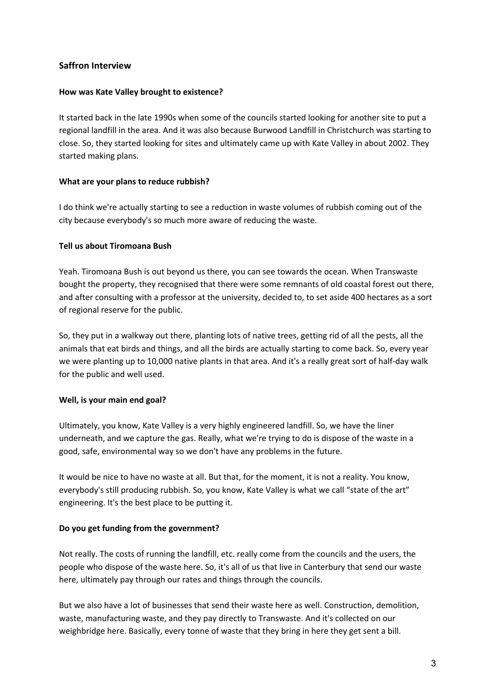# **Saffron Interview**

### **How was Kate Valley brought to existence?**

It started back in the late 1990s when some of the councils started looking for another site to put a regional landfill in the area. And it was also because Burwood Landfill in Christchurch was starting to close. So, they started looking for sites and ultimately came up with Kate Valley in about 2002. They started making plans.

# **What are your plans to reduce rubbish?**

I do think we're actually starting to see a reduction in waste volumes of rubbish coming out of the city because everybody's so much more aware of reducing the waste.

### **Tell us about Tiromoana Bush**

Yeah. Tiromoana Bush is out beyond us there, you can see towards the ocean. When Transwaste bought the property, they recognised that there were some remnants of old coastal forest out there, and after consulting with a professor at the university, decided to, to set aside 400 hectares as a sort of regional reserve for the public.

So, they put in a walkway out there, planting lots of native trees, getting rid of all the pests, all the animals that eat birds and things, and all the birds are actually starting to come back. So, every year we were planting up to 10,000 native plants in that area. And it's a really great sort of half-day walk for the public and well used.

# **Well, is your main end goal?**

Ultimately, you know, Kate Valley is a very highly engineered landfill. So, we have the liner underneath, and we capture the gas. Really, what we're trying to do is dispose of the waste in a good, safe, environmental way so we don't have any problems in the future.

It would be nice to have no waste at all. But that, for the moment, it is not a reality. You know, everybody's still producing rubbish. So, you know, Kate Valley is what we call "state of the art" engineering. It's the best place to be putting it.

#### **Do you get funding from the government?**

Not really. The costs of running the landfill, etc. really come from the councils and the users, the people who dispose of the waste here. So, it's all of us that live in Canterbury that send our waste here, ultimately pay through our rates and things through the councils.

But we also have a lot of businesses that send their waste here as well. Construction, demolition, waste, manufacturing waste, and they pay directly to Transwaste. And it's collected on our weighbridge here. Basically, every tonne of waste that they bring in here they get sent a bill.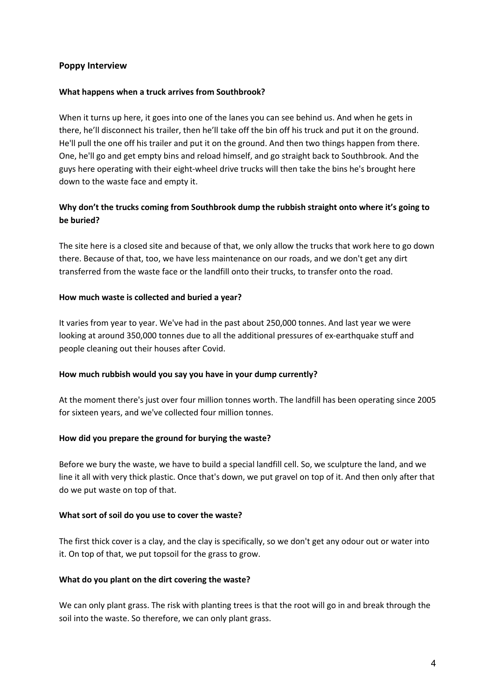### **Poppy Interview**

#### **What happens when a truck arrives from Southbrook?**

When it turns up here, it goes into one of the lanes you can see behind us. And when he gets in there, he'll disconnect his trailer, then he'll take off the bin off his truck and put it on the ground. He'll pull the one off his trailer and put it on the ground. And then two things happen from there. One, he'll go and get empty bins and reload himself, and go straight back to Southbrook. And the guys here operating with their eight-wheel drive trucks will then take the bins he's brought here down to the waste face and empty it.

# **Why don't the trucks coming from Southbrook dump the rubbish straight onto where it's going to be buried?**

The site here is a closed site and because of that, we only allow the trucks that work here to go down there. Because of that, too, we have less maintenance on our roads, and we don't get any dirt transferred from the waste face or the landfill onto their trucks, to transfer onto the road.

### **How much waste is collected and buried a year?**

It varies from year to year. We've had in the past about 250,000 tonnes. And last year we were looking at around 350,000 tonnes due to all the additional pressures of ex-earthquake stuff and people cleaning out their houses after Covid.

# **How much rubbish would you say you have in your dump currently?**

At the moment there's just over four million tonnes worth. The landfill has been operating since 2005 for sixteen years, and we've collected four million tonnes.

#### **How did you prepare the ground for burying the waste?**

Before we bury the waste, we have to build a special landfill cell. So, we sculpture the land, and we line it all with very thick plastic. Once that's down, we put gravel on top of it. And then only after that do we put waste on top of that.

#### **What sort of soil do you use to cover the waste?**

The first thick cover is a clay, and the clay is specifically, so we don't get any odour out or water into it. On top of that, we put topsoil for the grass to grow.

#### **What do you plant on the dirt covering the waste?**

We can only plant grass. The risk with planting trees is that the root will go in and break through the soil into the waste. So therefore, we can only plant grass.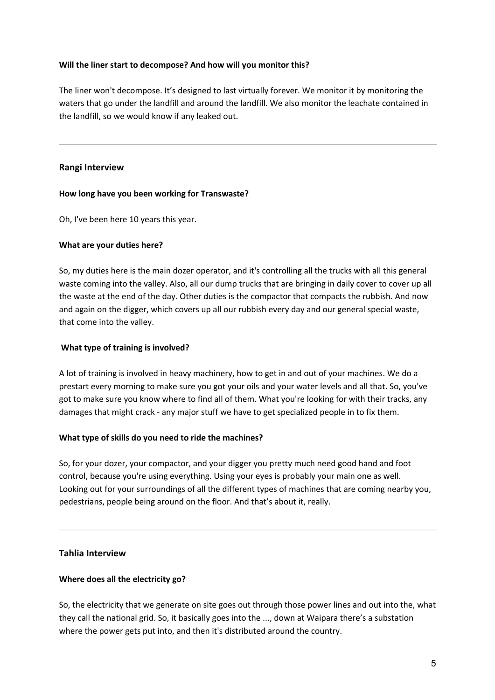### **Will the liner start to decompose? And how will you monitor this?**

The liner won't decompose. It's designed to last virtually forever. We monitor it by monitoring the waters that go under the landfill and around the landfill. We also monitor the leachate contained in the landfill, so we would know if any leaked out.

### **Rangi Interview**

#### **How long have you been working for Transwaste?**

Oh, I've been here 10 years this year.

### **What are your duties here?**

So, my duties here is the main dozer operator, and it's controlling all the trucks with all this general waste coming into the valley. Also, all our dump trucks that are bringing in daily cover to cover up all the waste at the end of the day. Other duties is the compactor that compacts the rubbish. And now and again on the digger, which covers up all our rubbish every day and our general special waste, that come into the valley.

### **What type of training is involved?**

A lot of training is involved in heavy machinery, how to get in and out of your machines. We do a prestart every morning to make sure you got your oils and your water levels and all that. So, you've got to make sure you know where to find all of them. What you're looking for with their tracks, any damages that might crack - any major stuff we have to get specialized people in to fix them.

# **What type of skills do you need to ride the machines?**

So, for your dozer, your compactor, and your digger you pretty much need good hand and foot control, because you're using everything. Using your eyes is probably your main one as well. Looking out for your surroundings of all the different types of machines that are coming nearby you, pedestrians, people being around on the floor. And that's about it, really.

# **Tahlia Interview**

#### **Where does all the electricity go?**

So, the electricity that we generate on site goes out through those power lines and out into the, what they call the national grid. So, it basically goes into the ..., down at Waipara there's a substation where the power gets put into, and then it's distributed around the country.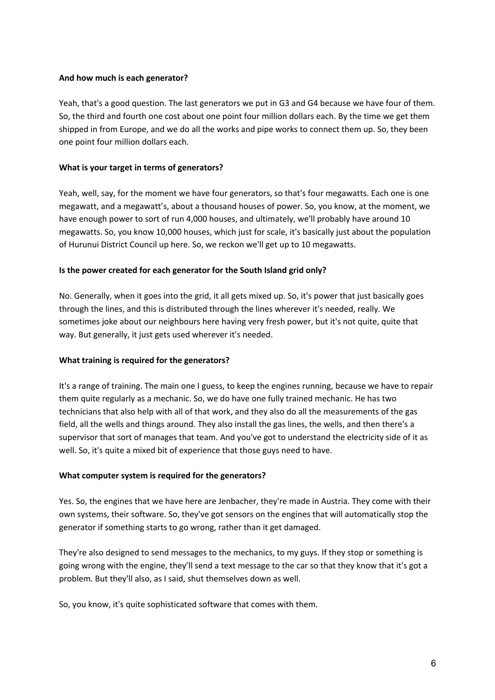### **And how much is each generator?**

Yeah, that's a good question. The last generators we put in G3 and G4 because we have four of them. So, the third and fourth one cost about one point four million dollars each. By the time we get them shipped in from Europe, and we do all the works and pipe works to connect them up. So, they been one point four million dollars each.

### **What is your target in terms of generators?**

Yeah, well, say, for the moment we have four generators, so that's four megawatts. Each one is one megawatt, and a megawatt's, about a thousand houses of power. So, you know, at the moment, we have enough power to sort of run 4,000 houses, and ultimately, we'll probably have around 10 megawatts. So, you know 10,000 houses, which just for scale, it's basically just about the population of Hurunui District Council up here. So, we reckon we'll get up to 10 megawatts.

### **Is the power created for each generator for the South Island grid only?**

No. Generally, when it goes into the grid, it all gets mixed up. So, it's power that just basically goes through the lines, and this is distributed through the lines wherever it's needed, really. We sometimes joke about our neighbours here having very fresh power, but it's not quite, quite that way. But generally, it just gets used wherever it's needed.

# **What training is required for the generators?**

It's a range of training. The main one I guess, to keep the engines running, because we have to repair them quite regularly as a mechanic. So, we do have one fully trained mechanic. He has two technicians that also help with all of that work, and they also do all the measurements of the gas field, all the wells and things around. They also install the gas lines, the wells, and then there's a supervisor that sort of manages that team. And you've got to understand the electricity side of it as well. So, it's quite a mixed bit of experience that those guys need to have.

#### **What computer system is required for the generators?**

Yes. So, the engines that we have here are Jenbacher, they're made in Austria. They come with their own systems, their software. So, they've got sensors on the engines that will automatically stop the generator if something starts to go wrong, rather than it get damaged.

They're also designed to send messages to the mechanics, to my guys. If they stop or something is going wrong with the engine, they'll send a text message to the car so that they know that it's got a problem. But they'll also, as I said, shut themselves down as well.

So, you know, it's quite sophisticated software that comes with them.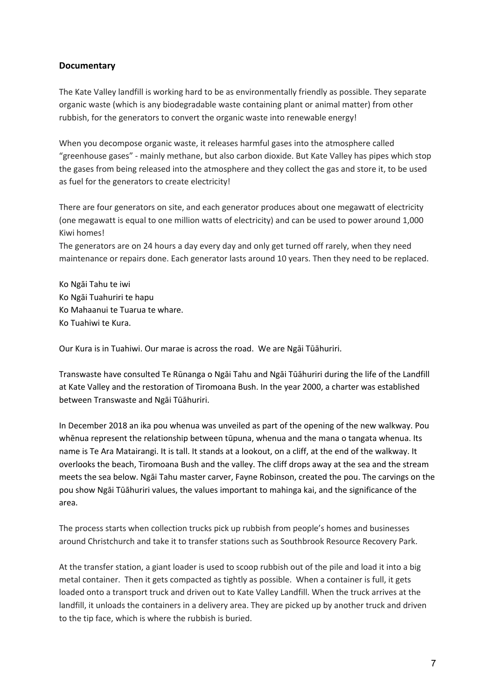# **Documentary**

The Kate Valley landfill is working hard to be as environmentally friendly as possible. They separate organic waste (which is any biodegradable waste containing plant or animal matter) from other rubbish, for the generators to convert the organic waste into renewable energy!

When you decompose organic waste, it releases harmful gases into the atmosphere called "greenhouse gases" - mainly methane, but also carbon dioxide. But Kate Valley has pipes which stop the gases from being released into the atmosphere and they collect the gas and store it, to be used as fuel for the generators to create electricity!

There are four generators on site, and each generator produces about one megawatt of electricity (one megawatt is equal to one million watts of electricity) and can be used to power around 1,000 Kiwi homes!

The generators are on 24 hours a day every day and only get turned off rarely, when they need maintenance or repairs done. Each generator lasts around 10 years. Then they need to be replaced.

Ko Ngāi Tahu te iwi Ko Ngāi Tuahuriri te hapu Ko Mahaanui te Tuarua te whare. Ko Tuahiwi te Kura.

Our Kura is in Tuahiwi. Our marae is across the road. We are Ngāi Tūāhuriri.

Transwaste have consulted Te Rūnanga o Ngāi Tahu and Ngāi Tūāhuriri during the life of the Landfill at Kate Valley and the restoration of Tiromoana Bush. In the year 2000, a charter was established between Transwaste and Ngāi Tūāhuriri.

In December 2018 an ika pou whenua was unveiled as part of the opening of the new walkway. Pou whēnua represent the relationship between tūpuna, whenua and the mana o tangata whenua. Its name is Te Ara Matairangi. It is tall. It stands at a lookout, on a cliff, at the end of the walkway. It overlooks the beach, Tiromoana Bush and the valley. The cliff drops away at the sea and the stream meets the sea below. Ngāi Tahu master carver, Fayne Robinson, created the pou. The carvings on the pou show Ngāi Tūāhuriri values, the values important to mahinga kai, and the significance of the area.

The process starts when collection trucks pick up rubbish from people's homes and businesses around Christchurch and take it to transfer stations such as Southbrook Resource Recovery Park.

At the transfer station, a giant loader is used to scoop rubbish out of the pile and load it into a big metal container. Then it gets compacted as tightly as possible. When a container is full, it gets loaded onto a transport truck and driven out to Kate Valley Landfill. When the truck arrives at the landfill, it unloads the containers in a delivery area. They are picked up by another truck and driven to the tip face, which is where the rubbish is buried.